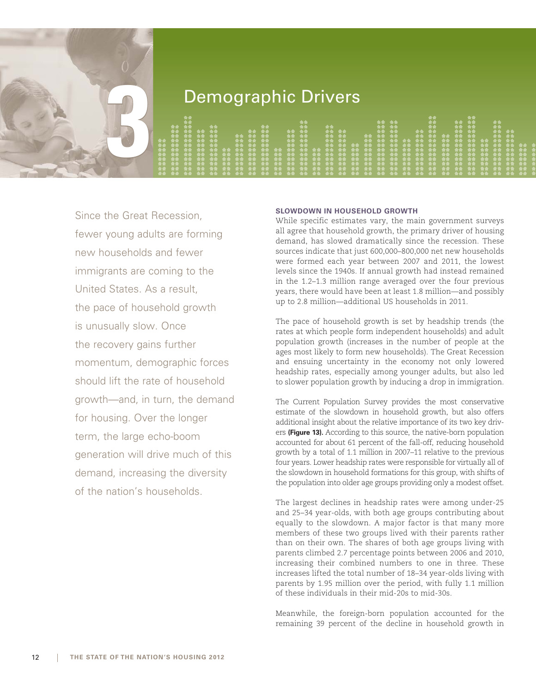

# **3** Demographic Drivers

|  |   |   |  |  |   |           |         |            |           |  |  | 一会 金 一会 金 一 |  |                     |   |  |    |  |
|--|---|---|--|--|---|-----------|---------|------------|-----------|--|--|-------------|--|---------------------|---|--|----|--|
|  | . |   |  |  |   | $\bullet$ |         |            | <b>合合</b> |  |  | $+ + +$     |  | $\bullet$ $\bullet$ | . |  | 合金 |  |
|  |   | . |  |  | . |           | 一会会 一会会 |            | .         |  |  |             |  |                     | . |  | .  |  |
|  |   | . |  |  | . |           |         |            | $A + A$   |  |  |             |  |                     |   |  |    |  |
|  |   |   |  |  |   |           |         | $-11 - 11$ | .         |  |  |             |  |                     |   |  |    |  |
|  |   |   |  |  |   |           |         |            |           |  |  |             |  |                     |   |  |    |  |
|  |   |   |  |  |   |           |         |            |           |  |  |             |  |                     |   |  |    |  |
|  |   |   |  |  |   |           |         |            |           |  |  |             |  |                     |   |  |    |  |
|  |   |   |  |  |   |           |         |            |           |  |  |             |  |                     |   |  |    |  |
|  |   |   |  |  |   |           |         |            |           |  |  |             |  |                     |   |  |    |  |
|  |   |   |  |  |   |           |         |            |           |  |  |             |  |                     |   |  |    |  |
|  |   |   |  |  |   |           |         |            |           |  |  |             |  |                     |   |  |    |  |

Since the Great Recession, fewer young adults are forming new households and fewer immigrants are coming to the United States. As a result, the pace of household growth is unusually slow. Once the recovery gains further momentum, demographic forces should lift the rate of household growth—and, in turn, the demand for housing. Over the longer term, the large echo-boom generation will drive much of this demand, increasing the diversity of the nation's households.

## **SLOWDOWN IN HOUSEHOLD GROWTH**

While specific estimates vary, the main government surveys all agree that household growth, the primary driver of housing demand, has slowed dramatically since the recession. These sources indicate that just 600,000–800,000 net new households were formed each year between 2007 and 2011, the lowest levels since the 1940s. If annual growth had instead remained in the 1.2–1.3 million range averaged over the four previous years, there would have been at least 1.8 million—and possibly up to 2.8 million—additional US households in 2011.

The pace of household growth is set by headship trends (the rates at which people form independent households) and adult population growth (increases in the number of people at the ages most likely to form new households). The Great Recession and ensuing uncertainty in the economy not only lowered headship rates, especially among younger adults, but also led to slower population growth by inducing a drop in immigration.

The Current Population Survey provides the most conservative estimate of the slowdown in household growth, but also offers additional insight about the relative importance of its two key drivers **(Figure 13).** According to this source, the native-born population accounted for about 61 percent of the fall-off, reducing household growth by a total of 1.1 million in 2007–11 relative to the previous four years. Lower headship rates were responsible for virtually all of the slowdown in household formations for this group, with shifts of the population into older age groups providing only a modest offset.

The largest declines in headship rates were among under-25 and 25–34 year-olds, with both age groups contributing about equally to the slowdown. A major factor is that many more members of these two groups lived with their parents rather than on their own. The shares of both age groups living with parents climbed 2.7 percentage points between 2006 and 2010, increasing their combined numbers to one in three. These increases lifted the total number of 18–34 year-olds living with parents by 1.95 million over the period, with fully 1.1 million of these individuals in their mid-20s to mid-30s.

Meanwhile, the foreign-born population accounted for the remaining 39 percent of the decline in household growth in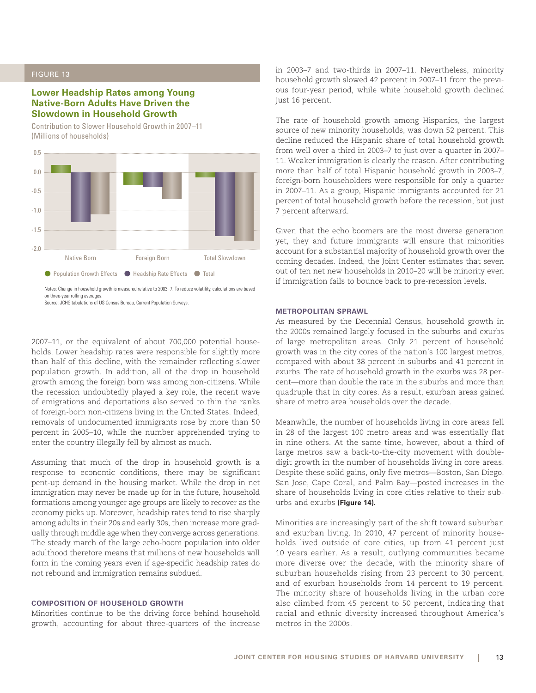# **Lower Headship Rates among Young Native-Born Adults Have Driven the Slowdown in Household Growth**

Contribution to Slower Household Growth in 2007–11 (Millions of households)



on three-year rolling averages. Source: JCHS tabulations of US Census Bureau, Current Population Surveys.

2007–11, or the equivalent of about 700,000 potential households. Lower headship rates were responsible for slightly more than half of this decline, with the remainder reflecting slower population growth. In addition, all of the drop in household growth among the foreign born was among non-citizens. While the recession undoubtedly played a key role, the recent wave of emigrations and deportations also served to thin the ranks of foreign-born non-citizens living in the United States. Indeed, removals of undocumented immigrants rose by more than 50 percent in 2005–10, while the number apprehended trying to enter the country illegally fell by almost as much.

Assuming that much of the drop in household growth is a response to economic conditions, there may be significant pent-up demand in the housing market. While the drop in net immigration may never be made up for in the future, household formations among younger age groups are likely to recover as the economy picks up. Moreover, headship rates tend to rise sharply among adults in their 20s and early 30s, then increase more gradually through middle age when they converge across generations. The steady march of the large echo-boom population into older adulthood therefore means that millions of new households will form in the coming years even if age-specific headship rates do not rebound and immigration remains subdued.

#### **COMPOSITION OF HOUSEHOLD GROWTH**

Minorities continue to be the driving force behind household growth, accounting for about three-quarters of the increase in 2003–7 and two-thirds in 2007–11. Nevertheless, minority household growth slowed 42 percent in 2007–11 from the previous four-year period, while white household growth declined just 16 percent.

The rate of household growth among Hispanics, the largest source of new minority households, was down 52 percent. This decline reduced the Hispanic share of total household growth from well over a third in 2003–7 to just over a quarter in 2007– 11. Weaker immigration is clearly the reason. After contributing more than half of total Hispanic household growth in 2003–7, foreign-born householders were responsible for only a quarter in 2007–11. As a group, Hispanic immigrants accounted for 21 percent of total household growth before the recession, but just 7 percent afterward.

Given that the echo boomers are the most diverse generation yet, they and future immigrants will ensure that minorities account for a substantial majority of household growth over the coming decades. Indeed, the Joint Center estimates that seven out of ten net new households in 2010–20 will be minority even if immigration fails to bounce back to pre-recession levels.

#### **METROPOLITAN SPRAWL**

As measured by the Decennial Census, household growth in the 2000s remained largely focused in the suburbs and exurbs of large metropolitan areas. Only 21 percent of household growth was in the city cores of the nation's 100 largest metros, compared with about 38 percent in suburbs and 41 percent in exurbs. The rate of household growth in the exurbs was 28 percent—more than double the rate in the suburbs and more than quadruple that in city cores. As a result, exurban areas gained share of metro area households over the decade.

Meanwhile, the number of households living in core areas fell in 28 of the largest 100 metro areas and was essentially flat in nine others. At the same time, however, about a third of large metros saw a back-to-the-city movement with doubledigit growth in the number of households living in core areas. Despite these solid gains, only five metros—Boston, San Diego, San Jose, Cape Coral, and Palm Bay—posted increases in the share of households living in core cities relative to their suburbs and exurbs **(Figure 14).**

Minorities are increasingly part of the shift toward suburban and exurban living. In 2010, 47 percent of minority households lived outside of core cities, up from 41 percent just 10 years earlier. As a result, outlying communities became more diverse over the decade, with the minority share of suburban households rising from 23 percent to 30 percent, and of exurban households from 14 percent to 19 percent. The minority share of households living in the urban core also climbed from 45 percent to 50 percent, indicating that racial and ethnic diversity increased throughout America's metros in the 2000s.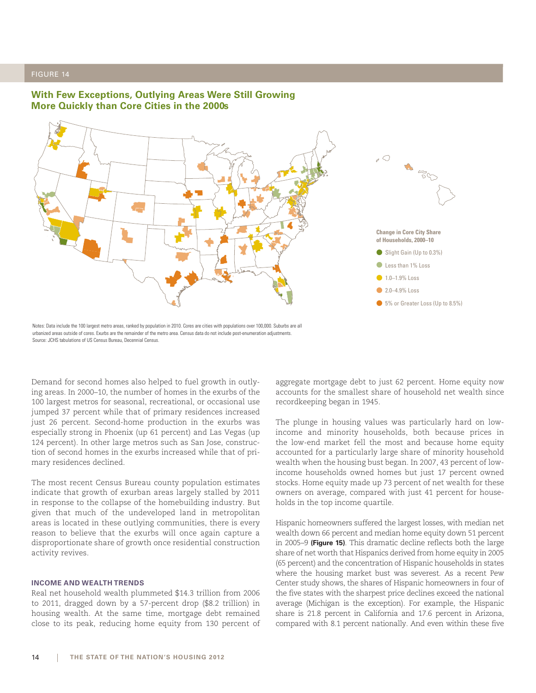



Notes: Data include the 100 largest metro areas, ranked by population in 2010. Cores are cities with populations over 100,000. Suburbs are all urbanized areas outside of cores. Exurbs are the remainder of the metro area. Census data do not include post-enumeration adjustments. Source: JCHS tabulations of US Census Bureau, Decennial Census.

Demand for second homes also helped to fuel growth in outlying areas. In 2000–10, the number of homes in the exurbs of the 100 largest metros for seasonal, recreational, or occasional use jumped 37 percent while that of primary residences increased just 26 percent. Second-home production in the exurbs was especially strong in Phoenix (up 61 percent) and Las Vegas (up 124 percent). In other large metros such as San Jose, construction of second homes in the exurbs increased while that of primary residences declined.

The most recent Census Bureau county population estimates indicate that growth of exurban areas largely stalled by 2011 in response to the collapse of the homebuilding industry. But given that much of the undeveloped land in metropolitan areas is located in these outlying communities, there is every reason to believe that the exurbs will once again capture a disproportionate share of growth once residential construction activity revives.

#### **INCOME AND WEALTH TRENDS**

Real net household wealth plummeted \$14.3 trillion from 2006 to 2011, dragged down by a 57-percent drop (\$8.2 trillion) in housing wealth. At the same time, mortgage debt remained close to its peak, reducing home equity from 130 percent of aggregate mortgage debt to just 62 percent. Home equity now accounts for the smallest share of household net wealth since recordkeeping began in 1945.

The plunge in housing values was particularly hard on lowincome and minority households, both because prices in the low-end market fell the most and because home equity accounted for a particularly large share of minority household wealth when the housing bust began. In 2007, 43 percent of lowincome households owned homes but just 17 percent owned stocks. Home equity made up 73 percent of net wealth for these owners on average, compared with just 41 percent for households in the top income quartile.

Hispanic homeowners suffered the largest losses, with median net wealth down 66 percent and median home equity down 51 percent in 2005–9 **(Figure 15)**. This dramatic decline reflects both the large share of net worth that Hispanics derived from home equity in 2005 (65 percent) and the concentration of Hispanic households in states where the housing market bust was severest. As a recent Pew Center study shows, the shares of Hispanic homeowners in four of the five states with the sharpest price declines exceed the national average (Michigan is the exception). For example, the Hispanic share is 21.8 percent in California and 17.6 percent in Arizona, compared with 8.1 percent nationally. And even within these five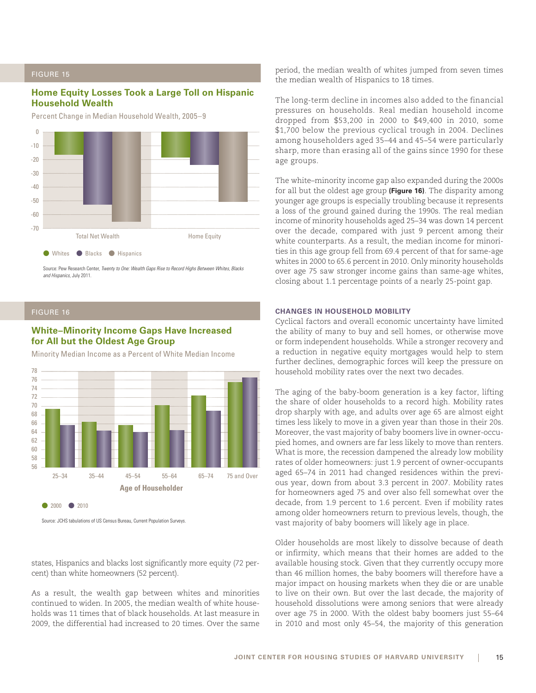# **Home Equity Losses Took a Large Toll on Hispanic Household Wealth**

Percent Change in Median Household Wealth, 2005–9



Source: Pew Research Center, Twenty to One: Wealth Gaps Rise to Record Highs Between Whites, Blacks and Hispanics, July 2011.

## FIGURE 16

## **White–Minority Income Gaps Have Increased for All but the Oldest Age Group**

Minority Median Income as a Percent of White Median Income



Source: JCHS tabulations of US Census Bureau, Current Population Surveys.

states, Hispanics and blacks lost significantly more equity (72 percent) than white homeowners (52 percent).

As a result, the wealth gap between whites and minorities continued to widen. In 2005, the median wealth of white households was 11 times that of black households. At last measure in 2009, the differential had increased to 20 times. Over the same period, the median wealth of whites jumped from seven times the median wealth of Hispanics to 18 times.

The long-term decline in incomes also added to the financial pressures on households. Real median household income dropped from \$53,200 in 2000 to \$49,400 in 2010, some \$1,700 below the previous cyclical trough in 2004. Declines among householders aged 35–44 and 45–54 were particularly sharp, more than erasing all of the gains since 1990 for these age groups.

The white–minority income gap also expanded during the 2000s for all but the oldest age group **(Figure 16)**. The disparity among younger age groups is especially troubling because it represents a loss of the ground gained during the 1990s. The real median income of minority households aged 25–34 was down 14 percent over the decade, compared with just 9 percent among their white counterparts. As a result, the median income for minorities in this age group fell from 69.4 percent of that for same-age whites in 2000 to 65.6 percent in 2010. Only minority households over age 75 saw stronger income gains than same-age whites, closing about 1.1 percentage points of a nearly 25-point gap.

#### **CHANGES IN HOUSEHOLD MOBILITY**

Cyclical factors and overall economic uncertainty have limited the ability of many to buy and sell homes, or otherwise move or form independent households. While a stronger recovery and a reduction in negative equity mortgages would help to stem further declines, demographic forces will keep the pressure on household mobility rates over the next two decades.

The aging of the baby-boom generation is a key factor, lifting the share of older households to a record high. Mobility rates drop sharply with age, and adults over age 65 are almost eight times less likely to move in a given year than those in their 20s. Moreover, the vast majority of baby boomers live in owner-occupied homes, and owners are far less likely to move than renters. What is more, the recession dampened the already low mobility rates of older homeowners: just 1.9 percent of owner-occupants aged 65–74 in 2011 had changed residences within the previous year, down from about 3.3 percent in 2007. Mobility rates for homeowners aged 75 and over also fell somewhat over the decade, from 1.9 percent to 1.6 percent. Even if mobility rates among older homeowners return to previous levels, though, the vast majority of baby boomers will likely age in place.

Older households are most likely to dissolve because of death or infirmity, which means that their homes are added to the available housing stock. Given that they currently occupy more than 46 million homes, the baby boomers will therefore have a major impact on housing markets when they die or are unable to live on their own. But over the last decade, the majority of household dissolutions were among seniors that were already over age 75 in 2000. With the oldest baby boomers just 55–64 in 2010 and most only 45–54, the majority of this generation